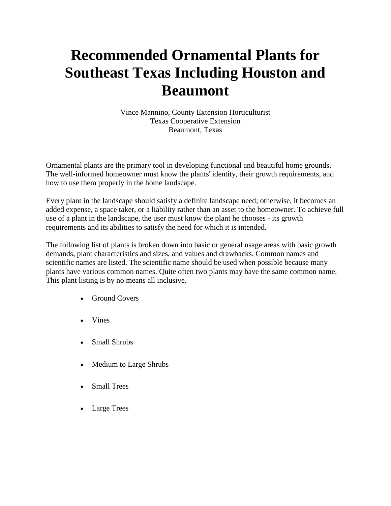# **Recommended Ornamental Plants for Southeast Texas Including Houston and Beaumont**

Vince Mannino, County Extension Horticulturist Texas Cooperative Extension Beaumont, Texas

Ornamental plants are the primary tool in developing functional and beautiful home grounds. The well-informed homeowner must know the plants' identity, their growth requirements, and how to use them properly in the home landscape.

Every plant in the landscape should satisfy a definite landscape need; otherwise, it becomes an added expense, a space taker, or a liability rather than an asset to the homeowner. To achieve full use of a plant in the landscape, the user must know the plant he chooses - its growth requirements and its abilities to satisfy the need for which it is intended.

The following list of plants is broken down into basic or general usage areas with basic growth demands, plant characteristics and sizes, and values and drawbacks. Common names and scientific names are listed. The scientific name should be used when possible because many plants have various common names. Quite often two plants may have the same common name. This plant listing is by no means all inclusive.

- [Ground Covers](http://aggie-horticulture.tamu.edu/archives/parsons/publications/beaumont/ground.html)
- [Vines](http://aggie-horticulture.tamu.edu/archives/parsons/publications/beaumont/vines.html)
- [Small Shrubs](http://aggie-horticulture.tamu.edu/archives/parsons/publications/beaumont/smshrubs.html)
- [Medium to Large Shrubs](http://aggie-horticulture.tamu.edu/archives/parsons/publications/beaumont/lgshrubs.html)
- [Small Trees](http://aggie-horticulture.tamu.edu/archives/parsons/publications/beaumont/smtrees.html)
- [Large Trees](http://aggie-horticulture.tamu.edu/archives/parsons/publications/beaumont/lgtrees.html)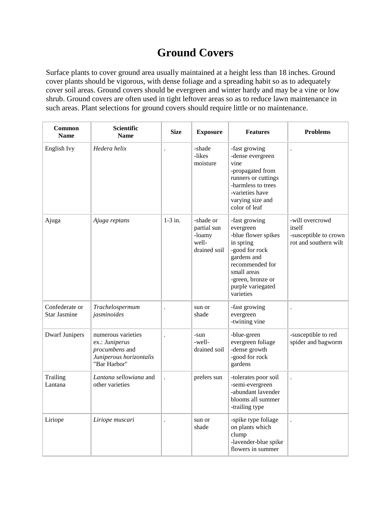# **Ground Covers**

Surface plants to cover ground area usually maintained at a height less than 18 inches. Ground cover plants should be vigorous, with dense foliage and a spreading habit so as to adequately cover soil areas. Ground covers should be evergreen and winter hardy and may be a vine or low shrub. Ground covers are often used in tight leftover areas so as to reduce lawn maintenance in such areas. Plant selections for ground covers should require little or no maintenance.

| <b>Common</b><br><b>Name</b>          | <b>Scientific</b><br><b>Name</b>                                                                  | <b>Size</b>          | <b>Exposure</b>                                             | <b>Features</b>                                                                                                                                                                          | <b>Problems</b>                                                             |
|---------------------------------------|---------------------------------------------------------------------------------------------------|----------------------|-------------------------------------------------------------|------------------------------------------------------------------------------------------------------------------------------------------------------------------------------------------|-----------------------------------------------------------------------------|
| English Ivy                           | Hedera helix                                                                                      |                      | -shade<br>-likes<br>moisture                                | -fast growing<br>-dense evergreen<br>vine<br>-propagated from<br>runners or cuttings<br>-harmless to trees<br>-varieties have<br>varying size and<br>color of leaf                       | $\ddot{\phantom{0}}$                                                        |
| Ajuga                                 | Ajuga reptans                                                                                     | $1-3$ in.            | -shade or<br>partial sun<br>-loamy<br>well-<br>drained soil | -fast growing<br>evergreen<br>-blue flower spikes<br>in spring<br>-good for rock<br>gardens and<br>recommended for<br>small areas<br>-green, bronze or<br>purple variegated<br>varieties | -will overcrowd<br>itself<br>-susceptible to crown<br>rot and southern wilt |
| Confederate or<br><b>Star Jasmine</b> | Trachelospermum<br>jasminoides                                                                    | $\ddot{\phantom{a}}$ | sun or<br>shade                                             | -fast growing<br>evergreen<br>-twining vine                                                                                                                                              | $\ddot{\phantom{a}}$                                                        |
| <b>Dwarf Junipers</b>                 | numerous varieties<br>ex.: Juniperus<br>procumbens and<br>Juniperous horizontalis<br>"Bar Harbor" | $\ddot{\phantom{a}}$ | -sun<br>-well-<br>drained soil                              | -blue-green<br>evergreen foliage<br>-dense growth<br>-good for rock<br>gardens                                                                                                           | -susceptible to red<br>spider and bagworm                                   |
| Trailing<br>Lantana                   | Lantana sellowiana and<br>other varieties                                                         |                      | prefers sun                                                 | -tolerates poor soil<br>-semi-evergreen<br>-abundant lavender<br>blooms all summer<br>-trailing type                                                                                     |                                                                             |
| Liriope                               | Liriope muscari                                                                                   |                      | sun or<br>shade                                             | -spike type foliage<br>on plants which<br>clump<br>-lavender-blue spike<br>flowers in summer                                                                                             |                                                                             |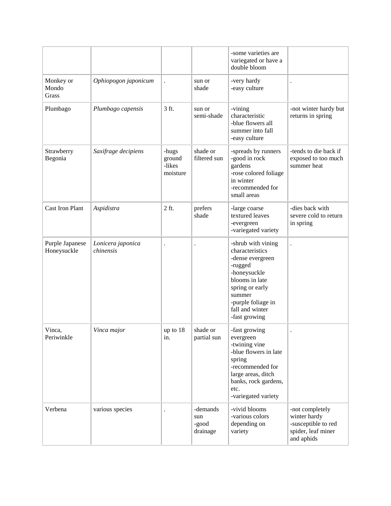|                                |                                |                                       |                                      | -some varieties are<br>variegated or have a<br>double bloom                                                                                                                                   |                                                                                            |
|--------------------------------|--------------------------------|---------------------------------------|--------------------------------------|-----------------------------------------------------------------------------------------------------------------------------------------------------------------------------------------------|--------------------------------------------------------------------------------------------|
| Monkey or<br>Mondo<br>Grass    | Ophiopogon japonicum           |                                       | sun or<br>shade                      | -very hardy<br>-easy culture                                                                                                                                                                  | $\ddot{\phantom{0}}$                                                                       |
| Plumbago                       | Plumbago capensis              | 3 ft.                                 | sun or<br>semi-shade                 | -vining<br>characteristic<br>-blue flowers all<br>summer into fall<br>-easy culture                                                                                                           | -not winter hardy but<br>returns in spring                                                 |
| Strawberry<br>Begonia          | Saxifrage decipiens            | -hugs<br>ground<br>-likes<br>moisture | shade or<br>filtered sun             | -spreads by runners<br>-good in rock<br>gardens<br>-rose colored foliage<br>in winter<br>-recommended for<br>small areas                                                                      | -tends to die back if<br>exposed to too much<br>summer heat                                |
| <b>Cast Iron Plant</b>         | Aspidistra                     | 2 ft.                                 | prefers<br>shade                     | -large coarse<br>textured leaves<br>-evergreen<br>-variegated variety                                                                                                                         | -dies back with<br>severe cold to return<br>in spring                                      |
| Purple Japanese<br>Honeysuckle | Lonicera japonica<br>chinensis | $\ddot{\phantom{0}}$                  | $\cdot$                              | -shrub with vining<br>characteristics<br>-dense evergreen<br>-rugged<br>-honeysuckle<br>blooms in late<br>spring or early<br>summer<br>-purple foliage in<br>fall and winter<br>-fast growing | $\ddot{\phantom{0}}$                                                                       |
| Vinca,<br>Periwinkle           | Vinca major                    | up to $18$<br>in.                     | shade or<br>partial sun              | -fast growing<br>evergreen<br>-twining vine<br>-blue flowers in late<br>spring<br>-recommended for<br>large areas, ditch<br>banks, rock gardens,<br>etc.<br>-variegated variety               |                                                                                            |
| Verbena                        | various species                |                                       | -demands<br>sun<br>-good<br>drainage | -vivid blooms<br>-various colors<br>depending on<br>variety                                                                                                                                   | -not completely<br>winter hardy<br>-susceptible to red<br>spider, leaf miner<br>and aphids |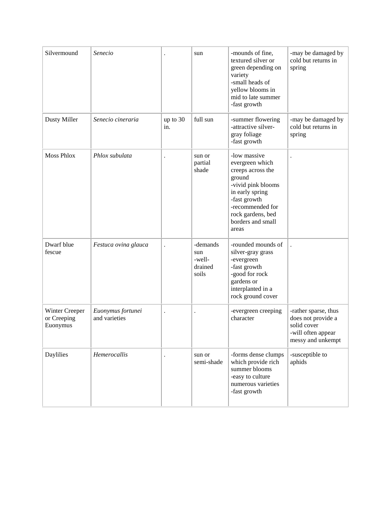| Silvermound                               | Senecio                            |                      | sun                                           | -mounds of fine,<br>textured silver or<br>green depending on<br>variety<br>-small heads of<br>yellow blooms in<br>mid to late summer<br>-fast growth                                           | -may be damaged by<br>cold but returns in<br>spring                                                  |
|-------------------------------------------|------------------------------------|----------------------|-----------------------------------------------|------------------------------------------------------------------------------------------------------------------------------------------------------------------------------------------------|------------------------------------------------------------------------------------------------------|
| <b>Dusty Miller</b>                       | Senecio cineraria                  | up to 30<br>in.      | full sun                                      | -summer flowering<br>-attractive silver-<br>gray foliage<br>-fast growth                                                                                                                       | -may be damaged by<br>cold but returns in<br>spring                                                  |
| <b>Moss Phlox</b>                         | Phlox subulata                     |                      | sun or<br>partial<br>shade                    | -low massive<br>evergreen which<br>creeps across the<br>ground<br>-vivid pink blooms<br>in early spring<br>-fast growth<br>-recommended for<br>rock gardens, bed<br>borders and small<br>areas | $\ddot{\phantom{0}}$                                                                                 |
| Dwarf blue<br>fescue                      | Festuca ovina glauca               |                      | -demands<br>sun<br>-well-<br>drained<br>soils | -rounded mounds of<br>silver-gray grass<br>-evergreen<br>-fast growth<br>-good for rock<br>gardens or<br>interplanted in a<br>rock ground cover                                                |                                                                                                      |
| Winter Creeper<br>or Creeping<br>Euonymus | Euonymus fortunei<br>and varieties | $\ddot{\phantom{0}}$ | $\ddot{\phantom{0}}$                          | -evergreen creeping<br>character                                                                                                                                                               | -rather sparse, thus<br>does not provide a<br>solid cover<br>-will often appear<br>messy and unkempt |
| Daylilies                                 | Hemerocallis                       |                      | sun or<br>semi-shade                          | -forms dense clumps<br>which provide rich<br>summer blooms<br>-easy to culture<br>numerous varieties<br>-fast growth                                                                           | -susceptible to<br>aphids                                                                            |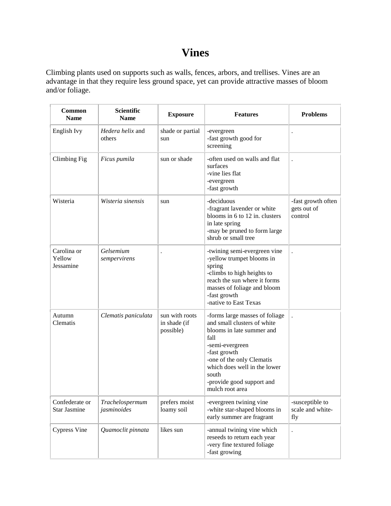## **Vines**

Climbing plants used on supports such as walls, fences, arbors, and trellises. Vines are an advantage in that they require less ground space, yet can provide attractive masses of bloom and/or foliage.

| Common<br><b>Name</b>              | <b>Scientific</b><br><b>Name</b> | <b>Exposure</b>                             | <b>Features</b>                                                                                                                                                                                                                                             | <b>Problems</b>                              |
|------------------------------------|----------------------------------|---------------------------------------------|-------------------------------------------------------------------------------------------------------------------------------------------------------------------------------------------------------------------------------------------------------------|----------------------------------------------|
| English Ivy                        | Hedera helix and<br>others       | shade or partial<br>sun                     | -evergreen<br>-fast growth good for<br>screening                                                                                                                                                                                                            | $\ddot{\phantom{0}}$                         |
| Climbing Fig                       | Ficus pumila                     | sun or shade                                | -often used on walls and flat<br>surfaces<br>-vine lies flat<br>-evergreen<br>-fast growth                                                                                                                                                                  |                                              |
| Wisteria                           | Wisteria sinensis                | sun                                         | -deciduous<br>-fragrant lavender or white<br>blooms in 6 to 12 in. clusters<br>in late spring<br>-may be pruned to form large<br>shrub or small tree                                                                                                        | -fast growth often<br>gets out of<br>control |
| Carolina or<br>Yellow<br>Jessamine | Gelsemium<br>sempervirens        |                                             | -twining semi-evergreen vine<br>-yellow trumpet blooms in<br>spring<br>-climbs to high heights to<br>reach the sun where it forms<br>masses of foliage and bloom<br>-fast growth<br>-native to East Texas                                                   |                                              |
| Autumn<br>Clematis                 | Clematis paniculata              | sun with roots<br>in shade (if<br>possible) | -forms large masses of foliage<br>and small clusters of white<br>blooms in late summer and<br>fall<br>-semi-evergreen<br>-fast growth<br>-one of the only Clematis<br>which does well in the lower<br>south<br>-provide good support and<br>mulch root area | $\ddot{\phantom{0}}$                         |
| Confederate or<br>Star Jasmine     | Trachelospermum<br>jasminoides   | prefers moist<br>loamy soil                 | -evergreen twining vine<br>-white star-shaped blooms in<br>early summer are fragrant                                                                                                                                                                        | -susceptible to<br>scale and white-<br>fly   |
| <b>Cypress Vine</b>                | Quamoclit pinnata                | likes sun                                   | -annual twining vine which<br>reseeds to return each year<br>-very fine textured foliage<br>-fast growing                                                                                                                                                   |                                              |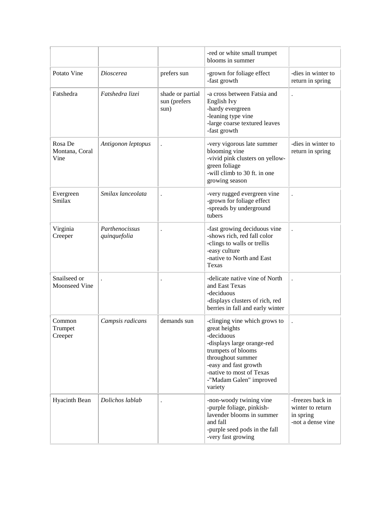|                                      |                                |                                          | -red or white small trumpet<br>blooms in summer                                                                                                                                                                                  |                                                                        |
|--------------------------------------|--------------------------------|------------------------------------------|----------------------------------------------------------------------------------------------------------------------------------------------------------------------------------------------------------------------------------|------------------------------------------------------------------------|
| Potato Vine                          | <i>Dioscerea</i>               | prefers sun                              | -grown for foliage effect<br>-fast growth                                                                                                                                                                                        | -dies in winter to<br>return in spring                                 |
| Fatshedra                            | Fatshedra lizei                | shade or partial<br>sun (prefers<br>sun) | -a cross between Fatsia and<br>English Ivy<br>-hardy evergreen<br>-leaning type vine<br>-large coarse textured leaves<br>-fast growth                                                                                            | $\ddot{\phantom{0}}$                                                   |
| Rosa De<br>Montana, Coral<br>Vine    | Antigonon leptopus             | $\ddot{\phantom{0}}$                     | -very vigorous late summer<br>blooming vine<br>-vivid pink clusters on yellow-<br>green foliage<br>-will climb to 30 ft. in one<br>growing season                                                                                | -dies in winter to<br>return in spring                                 |
| Evergreen<br>Smilax                  | Smilax lanceolata              | $\ddot{\phantom{0}}$                     | -very rugged evergreen vine<br>-grown for foliage effect<br>-spreads by underground<br>tubers                                                                                                                                    | ٠                                                                      |
| Virginia<br>Creeper                  | Parthenocissus<br>quinquefolia |                                          | -fast growing deciduous vine<br>-shows rich, red fall color<br>-clings to walls or trellis<br>-easy culture<br>-native to North and East<br>Texas                                                                                |                                                                        |
| Snailseed or<br><b>Moonseed Vine</b> |                                | $\ddot{\phantom{0}}$                     | -delicate native vine of North<br>and East Texas<br>-deciduous<br>-displays clusters of rich, red<br>berries in fall and early winter                                                                                            | $\cdot$                                                                |
| Common<br>Trumpet<br>Creeper         | Campsis radicans               | demands sun                              | -clinging vine which grows to<br>great heights<br>-deciduous<br>-displays large orange-red<br>trumpets of blooms<br>throughout summer<br>-easy and fast growth<br>-native to most of Texas<br>-"Madam Galen" improved<br>variety |                                                                        |
| Hyacinth Bean                        | Dolichos lablab                |                                          | -non-woody twining vine<br>-purple foliage, pinkish-<br>lavender blooms in summer<br>and fall<br>-purple seed pods in the fall<br>-very fast growing                                                                             | -freezes back in<br>winter to return<br>in spring<br>-not a dense vine |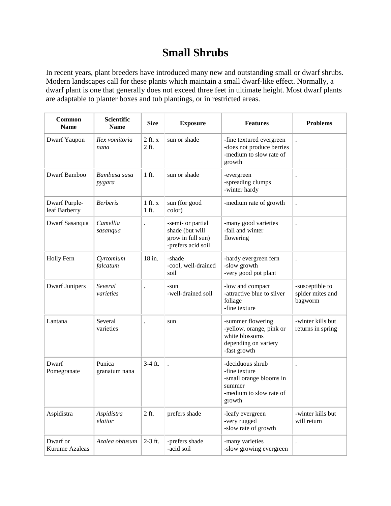## **Small Shrubs**

In recent years, plant breeders have introduced many new and outstanding small or dwarf shrubs. Modern landscapes call for these plants which maintain a small dwarf-like effect. Normally, a dwarf plant is one that generally does not exceed three feet in ultimate height. Most dwarf plants are adaptable to planter boxes and tub plantings, or in restricted areas.

| Common<br><b>Name</b>          | <b>Scientific</b><br><b>Name</b> | <b>Size</b>            | <b>Exposure</b>                                                                 | <b>Features</b>                                                                                             | <b>Problems</b>                                |
|--------------------------------|----------------------------------|------------------------|---------------------------------------------------------------------------------|-------------------------------------------------------------------------------------------------------------|------------------------------------------------|
| Dwarf Yaupon                   | Ilex vomitoria<br>nana           | $2$ ft. $x$<br>2 ft.   | sun or shade                                                                    | -fine textured evergreen<br>-does not produce berries<br>-medium to slow rate of<br>growth                  |                                                |
| Dwarf Bamboo                   | Bambusa sasa<br>pygara           | $1$ ft.                | sun or shade                                                                    | -evergreen<br>-spreading clumps<br>-winter hardy                                                            |                                                |
| Dwarf Purple-<br>leaf Barberry | <b>Berberis</b>                  | $1$ ft. $x$<br>$1$ ft. | sun (for good<br>color)                                                         | -medium rate of growth                                                                                      |                                                |
| Dwarf Sasanqua                 | Camellia<br>sasanqua             |                        | -semi- or partial<br>shade (but will<br>grow in full sun)<br>-prefers acid soil | -many good varieties<br>-fall and winter<br>flowering                                                       |                                                |
| <b>Holly Fern</b>              | Cyrtomium<br>falcatum            | 18 in.                 | -shade<br>-cool, well-drained<br>soil                                           | -hardy evergreen fern<br>-slow growth<br>-very good pot plant                                               |                                                |
| <b>Dwarf Junipers</b>          | Several<br>varieties             |                        | -sun<br>-well-drained soil                                                      | -low and compact<br>-attractive blue to silver<br>foliage<br>-fine texture                                  | -susceptible to<br>spider mites and<br>bagworm |
| Lantana                        | Several<br>varieties             | $\ddot{\phantom{a}}$   | sun                                                                             | -summer flowering<br>-yellow, orange, pink or<br>white blossoms<br>depending on variety<br>-fast growth     | -winter kills but<br>returns in spring         |
| Dwarf<br>Pomegranate           | Punica<br>granatum nana          | $3-4$ ft.              | $\ddot{\phantom{0}}$                                                            | -deciduous shrub<br>-fine texture<br>-small orange blooms in<br>summer<br>-medium to slow rate of<br>growth |                                                |
| Aspidistra                     | Aspidistra<br>elatior            | 2 ft.                  | prefers shade                                                                   | -leafy evergreen<br>-very rugged<br>-slow rate of growth                                                    | -winter kills but<br>will return               |
| Dwarf or<br>Kurume Azaleas     | Azalea obtusum                   | $2-3$ ft.              | -prefers shade<br>-acid soil                                                    | -many varieties<br>-slow growing evergreen                                                                  |                                                |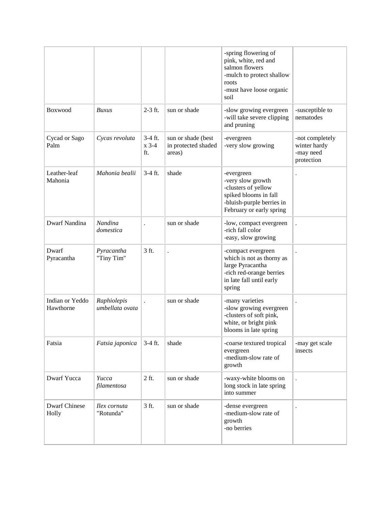|                               |                                |                           |                                                     | -spring flowering of<br>pink, white, red and<br>salmon flowers<br>-mulch to protect shallow<br>roots<br>-must have loose organic<br>soil |                                                            |
|-------------------------------|--------------------------------|---------------------------|-----------------------------------------------------|------------------------------------------------------------------------------------------------------------------------------------------|------------------------------------------------------------|
| Boxwood                       | <b>Buxus</b>                   | $2-3$ ft.                 | sun or shade                                        | -slow growing evergreen<br>-will take severe clipping<br>and pruning                                                                     | -susceptible to<br>nematodes                               |
| Cycad or Sago<br>Palm         | Cycas revoluta                 | 3-4 ft.<br>$x$ 3-4<br>ft. | sun or shade (best<br>in protected shaded<br>areas) | -evergreen<br>-very slow growing                                                                                                         | -not completely<br>winter hardy<br>-may need<br>protection |
| Leather-leaf<br>Mahonia       | Mahonia bealii                 | $3-4$ ft.                 | shade                                               | -evergreen<br>-very slow growth<br>-clusters of yellow<br>spiked blooms in fall<br>-bluish-purple berries in<br>February or early spring |                                                            |
| Dwarf Nandina                 | Nandina<br>domestica           | $\ddot{\phantom{0}}$      | sun or shade                                        | -low, compact evergreen<br>-rich fall color<br>-easy, slow growing                                                                       |                                                            |
| Dwarf<br>Pyracantha           | Pyracantha<br>"Tiny Tim"       | 3 ft.                     |                                                     | -compact evergreen<br>which is not as thorny as<br>large Pyracantha<br>-rich red-orange berries<br>in late fall until early<br>spring    |                                                            |
| Indian or Yeddo<br>Hawthorne  | Raphiolepis<br>umbellata ovata |                           | sun or shade                                        | -many varieties<br>-slow growing evergreen<br>-clusters of soft pink,<br>white, or bright pink<br>blooms in late spring                  |                                                            |
| Fatsia                        | Fatsia japonica                | $3-4$ ft.                 | shade                                               | -coarse textured tropical<br>evergreen<br>-medium-slow rate of<br>growth                                                                 | -may get scale<br>insects                                  |
| Dwarf Yucca                   | Yucca<br>filamentosa           | 2 ft.                     | sun or shade                                        | -waxy-white blooms on<br>long stock in late spring<br>into summer                                                                        |                                                            |
| <b>Dwarf Chinese</b><br>Holly | Ilex cornuta<br>"Rotunda"      | 3 ft.                     | sun or shade                                        | -dense evergreen<br>-medium-slow rate of<br>growth<br>-no berries                                                                        |                                                            |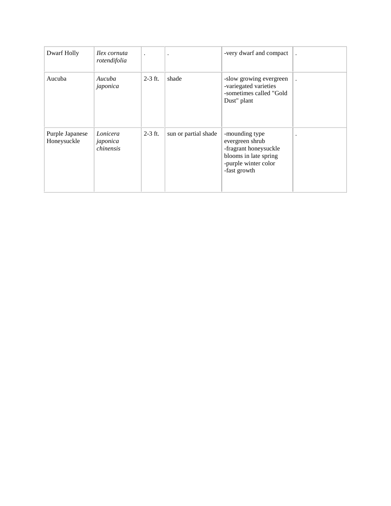| Dwarf Holly                    | Ilex cornuta<br>rotendifolia      | $\bullet$ | $\ddot{\phantom{a}}$ | -very dwarf and compact                                                                                                     |  |
|--------------------------------|-----------------------------------|-----------|----------------------|-----------------------------------------------------------------------------------------------------------------------------|--|
| Aucuba                         | Aucuba<br>japonica                | $2-3$ ft. | shade                | -slow growing evergreen<br>-variegated varieties<br>-sometimes called "Gold<br>Dust" plant                                  |  |
| Purple Japanese<br>Honeysuckle | Lonicera<br>japonica<br>chinensis | $2-3$ ft. | sun or partial shade | -mounding type<br>evergreen shrub<br>-fragrant honeysuckle<br>blooms in late spring<br>-purple winter color<br>-fast growth |  |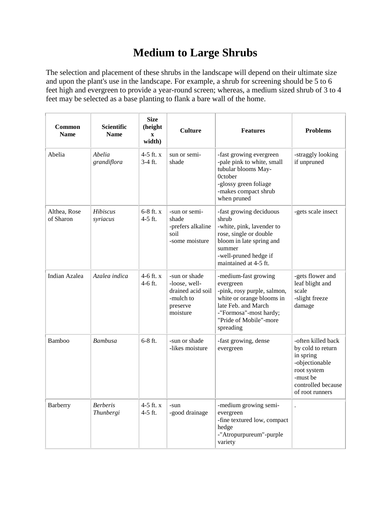## **Medium to Large Shrubs**

The selection and placement of these shrubs in the landscape will depend on their ultimate size and upon the plant's use in the landscape. For example, a shrub for screening should be 5 to 6 feet high and evergreen to provide a year-round screen; whereas, a medium sized shrub of 3 to 4 feet may be selected as a base planting to flank a bare wall of the home.

| <b>Common</b><br><b>Name</b> | <b>Scientific</b><br><b>Name</b>    | <b>Size</b><br>(height<br>$\mathbf X$<br>width) | <b>Culture</b>                                                                           | <b>Features</b>                                                                                                                                                                       | <b>Problems</b>                                                                                                                            |
|------------------------------|-------------------------------------|-------------------------------------------------|------------------------------------------------------------------------------------------|---------------------------------------------------------------------------------------------------------------------------------------------------------------------------------------|--------------------------------------------------------------------------------------------------------------------------------------------|
| Abelia                       | Abelia<br>grandiflora               | 4-5 ft. $x$<br>$3-4$ ft.                        | sun or semi-<br>shade                                                                    | -fast growing evergreen<br>-pale pink to white, small<br>tubular blooms May-<br>0ctober<br>-glossy green foliage<br>-makes compact shrub<br>when pruned                               | -straggly looking<br>if unpruned                                                                                                           |
| Althea, Rose<br>of Sharon    | <b>Hibiscus</b><br>syriacus         | $6-8$ ft. x<br>4-5 ft.                          | -sun or semi-<br>shade<br>-prefers alkaline<br>soil<br>-some moisture                    | -fast growing deciduous<br>shrub<br>-white, pink, lavender to<br>rose, single or double<br>bloom in late spring and<br>summer<br>-well-pruned hedge if<br>maintained at 4-5 ft.       | -gets scale insect                                                                                                                         |
| Indian Azalea                | Azalea indica                       | $4-6$ ft. x<br>$4-6$ ft.                        | -sun or shade<br>-loose, well-<br>drained acid soil<br>-mulch to<br>preserve<br>moisture | -medium-fast growing<br>evergreen<br>-pink, rosy purple, salmon,<br>white or orange blooms in<br>late Feb. and March<br>-"Formosa"-most hardy;<br>"Pride of Mobile"-more<br>spreading | -gets flower and<br>leaf blight and<br>scale<br>-slight freeze<br>damage                                                                   |
| Bamboo                       | <b>Bambusa</b>                      | $6 - 8$ ft.                                     | -sun or shade<br>-likes moisture                                                         | -fast growing, dense<br>evergreen                                                                                                                                                     | -often killed back<br>by cold to return<br>in spring<br>-objectionable<br>root system<br>-must be<br>controlled because<br>of root runners |
| Barberry                     | <b>Berberis</b><br><i>Thunbergi</i> | 4-5 ft. x<br>$4-5$ ft.                          | -sun<br>-good drainage                                                                   | -medium growing semi-<br>evergreen<br>-fine textured low, compact<br>hedge<br>-"Atropurpureum"-purple<br>variety                                                                      |                                                                                                                                            |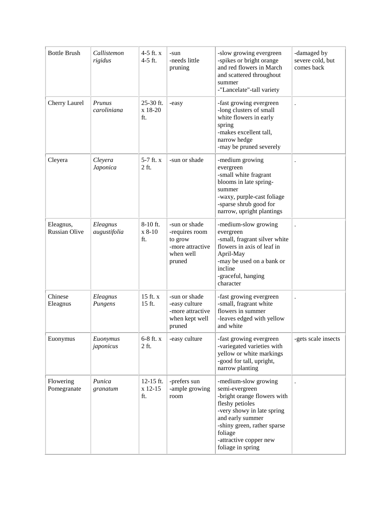| <b>Bottle Brush</b>               | Callistemon<br>rigidus   | 4-5 ft. $x$<br>4-5 ft.        | -sun<br>-needs little<br>pruning                                                      | -slow growing evergreen<br>-spikes or bright orange<br>and red flowers in March<br>and scattered throughout<br>summer<br>-"Lancelate"-tall variety                                                                                  | -damaged by<br>severe cold, but<br>comes back |
|-----------------------------------|--------------------------|-------------------------------|---------------------------------------------------------------------------------------|-------------------------------------------------------------------------------------------------------------------------------------------------------------------------------------------------------------------------------------|-----------------------------------------------|
| Cherry Laurel                     | Prunus<br>caroliniana    | 25-30 ft.<br>x 18-20<br>ft.   | -easy                                                                                 | -fast growing evergreen<br>-long clusters of small<br>white flowers in early<br>spring<br>-makes excellent tall,<br>narrow hedge<br>-may be pruned severely                                                                         |                                               |
| Cleyera                           | Cleyera<br>Japonica      | $5-7$ ft. $x$<br>2 ft.        | -sun or shade                                                                         | -medium growing<br>evergreen<br>-small white fragrant<br>blooms in late spring-<br>summer<br>-waxy, purple-cast foliage<br>-sparse shrub good for<br>narrow, upright plantings                                                      |                                               |
| Eleagnus,<br><b>Russian Olive</b> | Eleagnus<br>augustifolia | 8-10 ft.<br>$x 8-10$<br>ft.   | -sun or shade<br>-requires room<br>to grow<br>-more attractive<br>when well<br>pruned | -medium-slow growing<br>evergreen<br>-small, fragrant silver white<br>flowers in axis of leaf in<br>April-May<br>-may be used on a bank or<br>incline<br>-graceful, hanging<br>character                                            |                                               |
| Chinese<br>Eleagnus               | Eleagnus<br>Pungens      | $15$ ft. $x$<br>15 ft.        | -sun or shade<br>-easy culture<br>-more attractive<br>when kept well<br>pruned        | -fast growing evergreen<br>-small, fragrant white<br>flowers in summer<br>-leaves edged with yellow<br>and white                                                                                                                    |                                               |
| Euonymus                          | Euonymus<br>japonicus    | $6-8$ ft. $x$<br>2 ft.        | -easy culture                                                                         | -fast growing evergreen<br>-variegated varieties with<br>yellow or white markings<br>-good for tall, upright,<br>narrow planting                                                                                                    | -gets scale insects                           |
| Flowering<br>Pomegranate          | Punica<br>granatum       | $12-15$ ft.<br>x 12-15<br>ft. | -prefers sun<br>-ample growing<br>room                                                | -medium-slow growing<br>semi-evergreen<br>-bright orange flowers with<br>fleshy petioles<br>-very showy in late spring<br>and early summer<br>-shiny green, rather sparse<br>foliage<br>-attractive copper new<br>foliage in spring |                                               |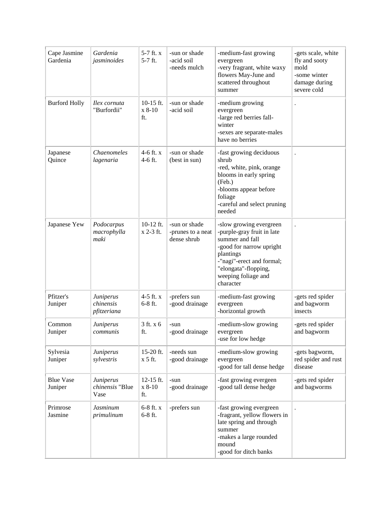| Cape Jasmine<br>Gardenia    | Gardenia<br>jasminoides               | 5-7 ft. x<br>5-7 ft.         | -sun or shade<br>-acid soil<br>-needs mulch       | -medium-fast growing<br>evergreen<br>-very fragrant, white waxy<br>flowers May-June and<br>scattered throughout<br>summer                                                                                  | -gets scale, white<br>fly and sooty<br>mold<br>-some winter<br>damage during<br>severe cold |
|-----------------------------|---------------------------------------|------------------------------|---------------------------------------------------|------------------------------------------------------------------------------------------------------------------------------------------------------------------------------------------------------------|---------------------------------------------------------------------------------------------|
| <b>Burford Holly</b>        | Ilex cornuta<br>"Burfordii"           | $10-15$ ft.<br>x 8-10<br>ft. | -sun or shade<br>-acid soil                       | -medium growing<br>evergreen<br>-large red berries fall-<br>winter<br>-sexes are separate-males<br>have no berries                                                                                         |                                                                                             |
| Japanese<br>Quince          | Chaenomeles<br>lagenaria              | $4-6$ ft. $x$<br>4-6 ft.     | -sun or shade<br>(best in sun)                    | -fast growing deciduous<br>shrub<br>-red, white, pink, orange<br>blooms in early spring<br>(Feb.)<br>-blooms appear before<br>foliage<br>-careful and select pruning<br>needed                             |                                                                                             |
| Japanese Yew                | Podocarpus<br>macrophylla<br>maki     | $10-12$ ft.<br>x 2-3 ft.     | -sun or shade<br>-prunes to a neat<br>dense shrub | -slow growing evergreen<br>-purple-gray fruit in late<br>summer and fall<br>-good for narrow upright<br>plantings<br>-"nagi"-erect and formal;<br>"elongata"-flopping,<br>weeping foliage and<br>character |                                                                                             |
| Pfitzer's<br>Juniper        | Juniperus<br>chinensis<br>pfitzeriana | 4-5 ft. x<br>$6-8$ ft.       | -prefers sun<br>-good drainage                    | -medium-fast growing<br>evergreen<br>-horizontal growth                                                                                                                                                    | -gets red spider<br>and bagworm<br>insects                                                  |
| Common<br>Juniper           | Juniperus<br>communis                 | 3 ft. x 6<br>ft.             | -sun<br>-good drainage                            | -medium-slow growing<br>evergreen<br>-use for low hedge                                                                                                                                                    | -gets red spider<br>and bagworm                                                             |
| Sylvesia<br>Juniper         | Juniperus<br>sylvestris               | 15-20 ft.<br>x 5 ft.         | -needs sun<br>-good drainage                      | -medium-slow growing<br>evergreen<br>-good for tall dense hedge                                                                                                                                            | -gets bagworm,<br>red spider and rust<br>disease                                            |
| <b>Blue Vase</b><br>Juniper | Juniperus<br>chinensis "Blue<br>Vase  | 12-15 ft.<br>x 8-10<br>ft.   | -sun<br>-good drainage                            | -fast growing evergeen<br>-good tall dense hedge                                                                                                                                                           | -gets red spider<br>and bagworms                                                            |
| Primrose<br>Jasmine         | <b>Jasminum</b><br>primulinum         | $6-8$ ft. $x$<br>$6-8$ ft.   | -prefers sun                                      | -fast growing evergreen<br>-fragrant, yellow flowers in<br>late spring and through<br>summer<br>-makes a large rounded<br>mound<br>-good for ditch banks                                                   |                                                                                             |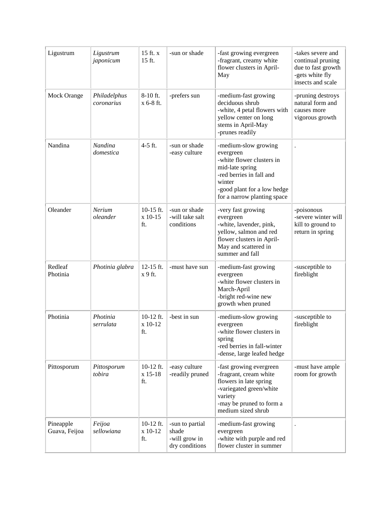| Ligustrum                  | Ligustrum<br>japonicum     | 15 ft. x<br>15 ft.            | -sun or shade                                               | -fast growing evergreen<br>-fragrant, creamy white<br>flower clusters in April-<br>May                                                                                                | -takes severe and<br>continual pruning<br>due to fast growth<br>-gets white fly<br>insects and scale |
|----------------------------|----------------------------|-------------------------------|-------------------------------------------------------------|---------------------------------------------------------------------------------------------------------------------------------------------------------------------------------------|------------------------------------------------------------------------------------------------------|
| Mock Orange                | Philadelphus<br>coronarius | 8-10 ft.<br>x 6-8 ft.         | -prefers sun                                                | -medium-fast growing<br>deciduous shrub<br>-white, 4 petal flowers with<br>yellow center on long<br>stems in April-May<br>-prunes readily                                             | -pruning destroys<br>natural form and<br>causes more<br>vigorous growth                              |
| Nandina                    | Nandina<br>domestica       | 4-5 ft.                       | -sun or shade<br>-easy culture                              | -medium-slow growing<br>evergreen<br>-white flower clusters in<br>mid-late spring<br>-red berries in fall and<br>winter<br>-good plant for a low hedge<br>for a narrow planting space |                                                                                                      |
| Oleander                   | Nerium<br>oleander         | $10-15$ ft.<br>x 10-15<br>ft. | -sun or shade<br>-will take salt<br>conditions              | -very fast growing<br>evergreen<br>-white, lavender, pink,<br>yellow, salmon and red<br>flower clusters in April-<br>May and scattered in<br>summer and fall                          | -poisonous<br>-severe winter will<br>kill to ground to<br>return in spring                           |
| Redleaf<br>Photinia        | Photinia glabra            | 12-15 ft.<br>x 9 ft.          | -must have sun                                              | -medium-fast growing<br>evergreen<br>-white flower clusters in<br>March-April<br>-bright red-wine new<br>growth when pruned                                                           | -susceptible to<br>fireblight                                                                        |
| Photinia                   | Photinia<br>serrulata      | $10-12$ ft.<br>x 10-12<br>ft. | -best in sun                                                | -medium-slow growing<br>evergreen<br>-white flower clusters in<br>spring<br>-red berries in fall-winter<br>-dense, large leafed hedge                                                 | -susceptible to<br>fireblight                                                                        |
| Pittosporum                | Pittosporum<br>tobira      | $10-12$ ft.<br>x 15-18<br>ft. | -easy culture<br>-readily pruned                            | -fast growing evergreen<br>-fragrant, cream white<br>flowers in late spring<br>-variegated green/white<br>variety<br>-may be pruned to form a<br>medium sized shrub                   | -must have ample<br>room for growth                                                                  |
| Pineapple<br>Guava, Feijoa | Feijoa<br>sellowiana       | 10-12 ft.<br>x 10-12<br>ft.   | -sun to partial<br>shade<br>-will grow in<br>dry conditions | -medium-fast growing<br>evergreen<br>-white with purple and red<br>flower cluster in summer                                                                                           |                                                                                                      |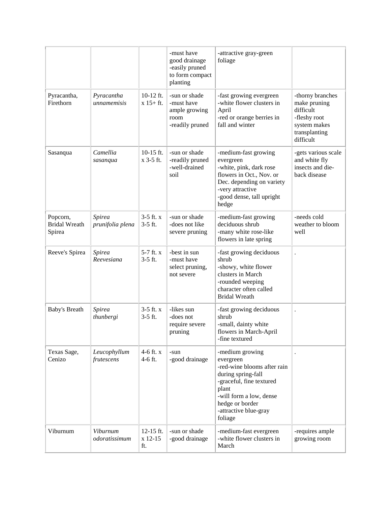|                                            |                            |                             | -must have<br>good drainage<br>-easily pruned<br>to form compact<br>planting | -attractive gray-green<br>foliage                                                                                                                                                                        |                                                                                                             |
|--------------------------------------------|----------------------------|-----------------------------|------------------------------------------------------------------------------|----------------------------------------------------------------------------------------------------------------------------------------------------------------------------------------------------------|-------------------------------------------------------------------------------------------------------------|
| Pyracantha,<br>Firethorn                   | Pyracantha<br>unnamemisis  | $10-12$ ft.<br>$x 15 + ft.$ | -sun or shade<br>-must have<br>ample growing<br>room<br>-readily pruned      | -fast growing evergreen<br>-white flower clusters in<br>April<br>-red or orange berries in<br>fall and winter                                                                                            | -thorny branches<br>make pruning<br>difficult<br>-fleshy root<br>system makes<br>transplanting<br>difficult |
| Sasanqua                                   | Camellia<br>sasanqua       | $10-15$ ft.<br>x 3-5 ft.    | -sun or shade<br>-readily pruned<br>-well-drained<br>soil                    | -medium-fast growing<br>evergreen<br>-white, pink, dark rose<br>flowers in Oct., Nov. or<br>Dec. depending on variety<br>-very attractive<br>-good dense, tall upright<br>hedge                          | -gets various scale<br>and white fly<br>insects and die-<br>back disease                                    |
| Popcorn,<br><b>Bridal Wreath</b><br>Spirea | Spirea<br>prunifolia plena | $3-5$ ft. $x$<br>$3-5$ ft.  | -sun or shade<br>-does not like<br>severe pruning                            | -medium-fast growing<br>deciduous shrub<br>-many white rose-like<br>flowers in late spring                                                                                                               | -needs cold<br>weather to bloom<br>well                                                                     |
| Reeve's Spirea                             | Spirea<br>Reevesiana       | 5-7 ft. x<br>$3-5$ ft.      | -best in sun<br>-must have<br>select pruning,<br>not severe                  | -fast growing deciduous<br>shrub<br>-showy, white flower<br>clusters in March<br>-rounded weeping<br>character often called<br><b>Bridal Wreath</b>                                                      |                                                                                                             |
| <b>Baby's Breath</b>                       | Spirea<br>thunbergi        | $3-5$ ft. $x$<br>$3-5$ ft.  | -likes sun<br>-does not<br>require severe<br>pruning                         | -fast growing deciduous<br>shrub<br>-small, dainty white<br>flowers in March-April<br>-fine textured                                                                                                     |                                                                                                             |
| Texas Sage,<br>Cenizo                      | Leucophyllum<br>frutescens | 4-6 ft. x<br>4-6 ft.        | -sun<br>-good drainage                                                       | -medium growing<br>evergreen<br>-red-wine blooms after rain<br>during spring-fall<br>-graceful, fine textured<br>plant<br>-will form a low, dense<br>hedge or border<br>-attractive blue-gray<br>foliage |                                                                                                             |
| Viburnum                                   | Viburnum<br>odoratissimum  | 12-15 ft.<br>x 12-15<br>ft. | -sun or shade<br>-good drainage                                              | -medium-fast evergreen<br>-white flower clusters in<br>March                                                                                                                                             | -requires ample<br>growing room                                                                             |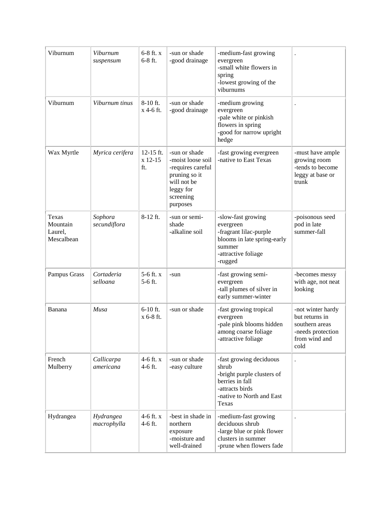| Viburnum                                   | Viburnum<br>suspensum    | $6-8$ ft. $x$<br>$6-8$ ft.    | -sun or shade<br>-good drainage                                                                                               | -medium-fast growing<br>evergreen<br>-small white flowers in<br>spring<br>-lowest growing of the<br>viburnums                              |                                                                                                     |
|--------------------------------------------|--------------------------|-------------------------------|-------------------------------------------------------------------------------------------------------------------------------|--------------------------------------------------------------------------------------------------------------------------------------------|-----------------------------------------------------------------------------------------------------|
| Viburnum                                   | Viburnum tinus           | $8-10$ ft.<br>x 4-6 ft.       | -sun or shade<br>-good drainage                                                                                               | -medium growing<br>evergreen<br>-pale white or pinkish<br>flowers in spring<br>-good for narrow upright<br>hedge                           |                                                                                                     |
| Wax Myrtle                                 | Myrica cerifera          | $12-15$ ft.<br>x 12-15<br>ft. | -sun or shade<br>-moist loose soil<br>-requires careful<br>pruning so it<br>will not be<br>leggy for<br>screening<br>purposes | -fast growing evergreen<br>-native to East Texas                                                                                           | -must have ample<br>growing room<br>-tends to become<br>leggy at base or<br>trunk                   |
| Texas<br>Mountain<br>Laurel,<br>Mescalbean | Sophora<br>secundiflora  | 8-12 ft.                      | -sun or semi-<br>shade<br>-alkaline soil                                                                                      | -slow-fast growing<br>evergreen<br>-fragrant lilac-purple<br>blooms in late spring-early<br>summer<br>-attractive foliage<br>-rugged       | -poisonous seed<br>pod in late<br>summer-fall                                                       |
| Pampus Grass                               | Cortaderia<br>selloana   | 5-6 ft. x<br>5-6 ft.          | -sun                                                                                                                          | -fast growing semi-<br>evergreen<br>-tall plumes of silver in<br>early summer-winter                                                       | -becomes messy<br>with age, not neat<br>looking                                                     |
| Banana                                     | Musa                     | $6-10$ ft.<br>x 6-8 ft.       | -sun or shade                                                                                                                 | -fast growing tropical<br>evergreen<br>-pale pink blooms hidden<br>among coarse foliage<br>-attractive foliage                             | -not winter hardy<br>but returns in<br>southern areas<br>-needs protection<br>from wind and<br>cold |
| French<br>Mulberry                         | Callicarpa<br>americana  | $4-6$ ft. x<br>4-6 ft.        | -sun or shade<br>-easy culture                                                                                                | -fast growing deciduous<br>shrub<br>-bright purple clusters of<br>berries in fall<br>-attracts birds<br>-native to North and East<br>Texas | $\ddot{\phantom{0}}$                                                                                |
| Hydrangea                                  | Hydrangea<br>macrophylla | 4-6 ft. x<br>4-6 ft.          | -best in shade in<br>northern<br>exposure<br>-moisture and<br>well-drained                                                    | -medium-fast growing<br>deciduous shrub<br>-large blue or pink flower<br>clusters in summer<br>-prune when flowers fade                    |                                                                                                     |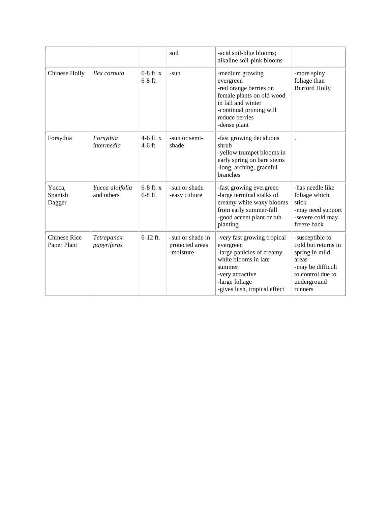|                                    |                               |                            | soil                                             | -acid soil-blue blooms;<br>alkaline soil-pink blooms                                                                                                                          |                                                                                                                                       |
|------------------------------------|-------------------------------|----------------------------|--------------------------------------------------|-------------------------------------------------------------------------------------------------------------------------------------------------------------------------------|---------------------------------------------------------------------------------------------------------------------------------------|
| Chinese Holly                      | Ilex cornuta                  | $6-8$ ft. $x$<br>$6-8$ ft. | -sun                                             | -medium growing<br>evergreen<br>-red orange berries on<br>female plants on old wood<br>in fall and winter<br>-continual pruning will<br>reduce berries<br>-dense plant        | -more spiny<br>foliage than<br><b>Burford Holly</b>                                                                                   |
| Forsythia                          | Forsythia<br>intermedia       | 4-6 ft. $x$<br>$4-6$ ft.   | -sun or semi-<br>shade                           | -fast growing deciduous<br>shrub<br>-yellow trumpet blooms in<br>early spring on bare stems<br>-long, arching, graceful<br>branches                                           |                                                                                                                                       |
| Yucca,<br>Spanish<br>Dagger        | Yucca aloifolia<br>and others | $6-8$ ft. x<br>$6-8$ ft.   | -sun or shade<br>-easy culture                   | -fast growing evergreen<br>-large terminal stalks of<br>creamy white waxy blooms<br>from early summer-fall<br>-good accent plant or tub<br>planting                           | -has needle like<br>foliage which<br>stick<br>-may need support<br>-severe cold may<br>freeze back                                    |
| <b>Chinese Rice</b><br>Paper Plant | Tetrapanax<br>papyriferus     | $6-12$ ft.                 | -sun or shade in<br>protected areas<br>-moisture | -very fast growing tropical<br>evergreen<br>-large panicles of creamy<br>white blooms in late<br>summer<br>-very attractive<br>-large foliage<br>-gives lush, tropical effect | -susceptible to<br>cold but returns in<br>spring in mild<br>areas<br>-may be difficult<br>to control due to<br>underground<br>runners |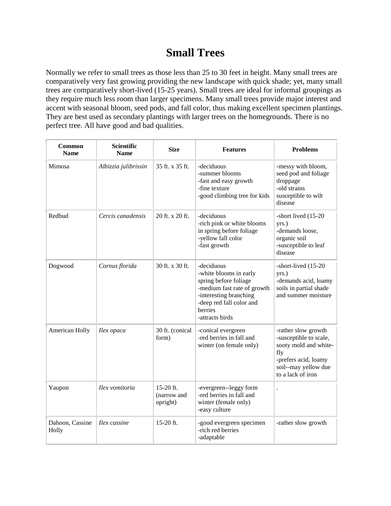## **Small Trees**

Normally we refer to small trees as those less than 25 to 30 feet in height. Many small trees are comparatively very fast growing providing the new landscape with quick shade; yet, many small trees are comparatively short-lived (15-25 years). Small trees are ideal for informal groupings as they require much less room than larger specimens. Many small trees provide major interest and accent with seasonal bloom, seed pods, and fall color, thus making excellent specimen plantings. They are best used as secondary plantings with larger trees on the homegrounds. There is no perfect tree. All have good and bad qualities.

| Common<br><b>Name</b>    | <b>Scientific</b><br><b>Name</b> | <b>Size</b>                            | <b>Features</b>                                                                                                                                                                  | <b>Problems</b>                                                                                                                                    |
|--------------------------|----------------------------------|----------------------------------------|----------------------------------------------------------------------------------------------------------------------------------------------------------------------------------|----------------------------------------------------------------------------------------------------------------------------------------------------|
| Mimosa                   | Albizzia julibrissin             | 35 ft. x 35 ft.                        | -deciduous<br>-summer blooms<br>-fast and easy growth<br>-fine texture<br>-good climbing tree for kids                                                                           | -messy with bloom,<br>seed pod and foliage<br>droppage<br>-old strains<br>susceptible to wilt<br>disease                                           |
| Redbud                   | Cercis canadensis                | 20 ft. x 20 ft.                        | -deciduous<br>-rich pink or white blooms<br>in spring before foliage<br>-yellow fall color<br>-fast growth                                                                       | -short lived (15-20<br>yrs.)<br>-demands loose,<br>organic soil<br>-susceptible to leaf<br>disease                                                 |
| Dogwood                  | Cornus florida                   | 30 ft. x 30 ft.                        | -deciduous<br>-white blooms in early<br>spring before foliage<br>-medium fast rate of growth<br>-interesting branching<br>-deep red fall color and<br>berries<br>-attracts birds | -short-lived (15-20<br>yrs.)<br>-demands acid, loamy<br>soils in partial shade<br>and summer moisture                                              |
| American Holly           | Ilex opaca                       | 30 ft. (conical<br>form)               | -conical evergreen<br>-red berries in fall and<br>winter (on female only)                                                                                                        | -rather slow growth<br>-susceptible to scale,<br>sooty mold and white-<br>fly<br>-prefers acid, loamy<br>soil--may yellow due<br>to a lack of iron |
| Yaupon                   | Ilex vomitoria                   | $15-20$ ft.<br>(narrow and<br>upright) | -evergreen--leggy form<br>-red berries in fall and<br>winter (female only)<br>-easy culture                                                                                      | $\ddot{\phantom{0}}$                                                                                                                               |
| Dahoon, Cassine<br>Holly | Ilex cassine                     | 15-20 ft.                              | -good evergreen specimen<br>-rich red berries<br>-adaptable                                                                                                                      | -rather slow growth                                                                                                                                |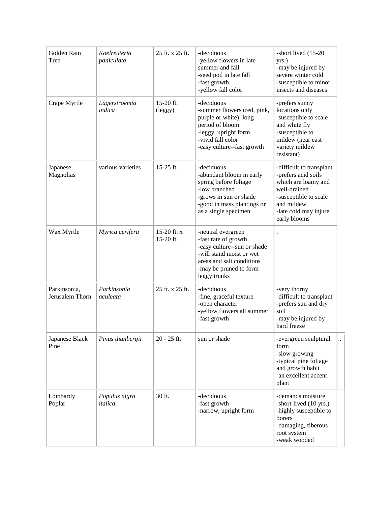| Golden Rain<br>Tree             | Koelreuteria<br>paniculata | 25 ft. x 25 ft.            | -deciduous<br>-yellow flowers in late<br>summer and fall<br>-seed pod in late fall<br>-fast growth<br>-yellow fall color                                                     | -short lived (15-20<br>yrs.)<br>-may be injured by<br>severe winter cold<br>-susceptible to minor<br>insects and diseases                                              |
|---------------------------------|----------------------------|----------------------------|------------------------------------------------------------------------------------------------------------------------------------------------------------------------------|------------------------------------------------------------------------------------------------------------------------------------------------------------------------|
| Crape Myrtle                    | Lagerstroemia<br>indica    | $15-20$ ft.<br>(leggy)     | -deciduous<br>-summer flowers (red, pink,<br>purple or white); long<br>period of bloom<br>-leggy, upright form<br>-vivid fall color<br>-easy culture--fast growth            | -prefers sunny<br>locations only<br>-susceptible to scale<br>and white fly<br>-susceptible to<br>mildew (near east<br>variety mildew<br>resistant)                     |
| Japanese<br>Magnolias           | various varieties          | 15-25 ft.                  | -deciduous<br>-abundant bloom in early<br>spring before foliage<br>-low branched<br>-grows in sun or shade<br>-good in mass plantings or<br>as a single specimen             | -difficult to transplant<br>-prefers acid soils<br>which are loamy and<br>well-drained<br>-susceptible to scale<br>and mildew<br>-late cold may injure<br>early blooms |
| Wax Myrtle                      | Myrica cerifera            | 15-20 ft. $x$<br>15-20 ft. | -neutral evergreen<br>-fast rate of growth<br>-easy culture--sun or shade<br>-will stand moist or wet<br>areas and salt conditions<br>-may be pruned to form<br>leggy trunks |                                                                                                                                                                        |
| Parkinsonia,<br>Jerusalem Thorn | Parkinsonia<br>aculeata    | 25 ft. x 25 ft.            | -deciduous<br>-fine, graceful texture<br>-open character<br>-yellow flowers all summer<br>-fast growth                                                                       | -very thorny<br>-difficult to transplant<br>-prefers sun and dry<br>soil<br>-may be injured by<br>hard freeze                                                          |
| Japanese Black<br>Pine          | Pinus thunbergii           | $20 - 25$ ft.              | sun or shade                                                                                                                                                                 | -evergreen sculptural<br>form<br>-slow growing<br>-typical pine foliage<br>and growth habit<br>-an excellent accent<br>plant                                           |
| Lombardy<br>Poplar              | Populus nigra<br>italica   | 30 ft.                     | -deciduous<br>-fast growth<br>-narrow, upright form                                                                                                                          | -demands moisture<br>-short-lived (10 yrs.)<br>-highly susceptible to<br>borers<br>-damaging, fiberous<br>root system<br>-weak wooded                                  |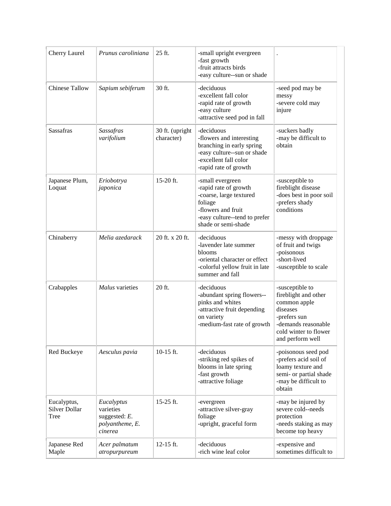| Cherry Laurel                        | Prunus caroliniana                                                     | 25 ft.                        | -small upright evergreen<br>-fast growth<br>-fruit attracts birds<br>-easy culture--sun or shade                                                              |                                                                                                                                                         |
|--------------------------------------|------------------------------------------------------------------------|-------------------------------|---------------------------------------------------------------------------------------------------------------------------------------------------------------|---------------------------------------------------------------------------------------------------------------------------------------------------------|
| <b>Chinese Tallow</b>                | Sapium sebiferum                                                       | 30 ft.                        | -deciduous<br>-excellent fall color<br>-rapid rate of growth<br>-easy culture<br>-attractive seed pod in fall                                                 | -seed pod may be<br>messy<br>-severe cold may<br>injure                                                                                                 |
| Sassafras                            | <b>Sassafras</b><br>varifolium                                         | 30 ft. (upright<br>character) | -deciduous<br>-flowers and interesting<br>branching in early spring<br>-easy culture--sun or shade<br>-excellent fall color<br>-rapid rate of growth          | -suckers badly<br>-may be difficult to<br>obtain                                                                                                        |
| Japanese Plum,<br>Loquat             | Eriobotrya<br>japonica                                                 | 15-20 ft.                     | -small evergreen<br>-rapid rate of growth<br>-coarse, large textured<br>foliage<br>-flowers and fruit<br>-easy culture--tend to prefer<br>shade or semi-shade | -susceptible to<br>fireblight disease<br>-does best in poor soil<br>-prefers shady<br>conditions                                                        |
| Chinaberry                           | Melia azedarack                                                        | 20 ft. x 20 ft.               | -deciduous<br>-lavender late summer<br>blooms<br>-oriental character or effect<br>-colorful yellow fruit in late<br>summer and fall                           | -messy with droppage<br>of fruit and twigs<br>-poisonous<br>-short-lived<br>-susceptible to scale                                                       |
| Crabapples                           | Malus varieties                                                        | 20 ft.                        | -deciduous<br>-abundant spring flowers--<br>pinks and whites<br>-attractive fruit depending<br>on variety<br>-medium-fast rate of growth                      | -susceptible to<br>fireblight and other<br>common apple<br>diseases<br>-prefers sun<br>-demands reasonable<br>cold winter to flower<br>and perform well |
| Red Buckeye                          | Aesculus pavia                                                         | 10-15 ft.                     | -deciduous<br>-striking red spikes of<br>blooms in late spring<br>-fast growth<br>-attractive foliage                                                         | -poisonous seed pod<br>-prefers acid soil of<br>loamy texture and<br>semi- or partial shade<br>-may be difficult to<br>obtain                           |
| Eucalyptus,<br>Silver Dollar<br>Tree | Eucalyptus<br>varieties<br>suggested: E.<br>polyantheme, E.<br>cinerea | 15-25 ft.                     | -evergreen<br>-attractive silver-gray<br>foliage<br>-upright, graceful form                                                                                   | -may be injured by<br>severe cold--needs<br>protection<br>-needs staking as may<br>become top heavy                                                     |
| Japanese Red<br>Maple                | Acer palmatum<br>atropurpureum                                         | 12-15 ft.                     | -deciduous<br>-rich wine leaf color                                                                                                                           | -expensive and<br>sometimes difficult to                                                                                                                |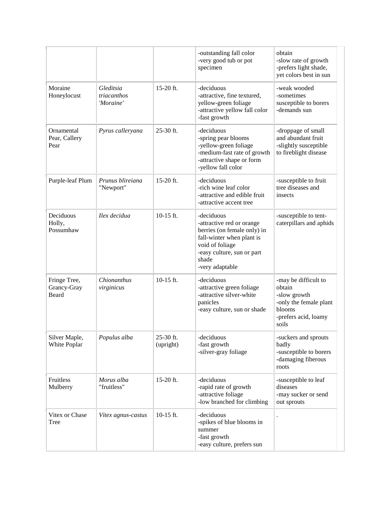|                                      |                                       |                        | -outstanding fall color<br>-very good tub or pot<br>specimen                                                                                                                     | obtain<br>-slow rate of growth<br>-prefers light shade,<br>yet colors best in sun                                   |
|--------------------------------------|---------------------------------------|------------------------|----------------------------------------------------------------------------------------------------------------------------------------------------------------------------------|---------------------------------------------------------------------------------------------------------------------|
| Moraine<br>Honeylocust               | Gleditsia<br>triacanthos<br>'Moraine' | 15-20 ft.              | -deciduous<br>-attractive, fine textured,<br>yellow-green foliage<br>-attractive yellow fall color<br>-fast growth                                                               | -weak wooded<br>-sometimes<br>susceptible to borers<br>-demands sun                                                 |
| Ornamental<br>Pear, Callery<br>Pear  | Pyrus calleryana                      | $25-30$ ft.            | -deciduous<br>-spring pear blooms<br>-yellow-green foliage<br>-medium-fast rate of growth<br>-attractive shape or form<br>-yellow fall color                                     | -droppage of small<br>and abundant fruit<br>-slightly susceptible<br>to fireblight disease                          |
| Purple-leaf Plum                     | Prunus blireiana<br>"Newport"         | 15-20 ft.              | -deciduous<br>-rich wine leaf color<br>-attractive and edible fruit<br>-attractive accent tree                                                                                   | -susceptible to fruit<br>tree diseases and<br>insects                                                               |
| Deciduous<br>Holly,<br>Possumhaw     | Ilex decidua                          | $10-15$ ft.            | -deciduous<br>-attractive red or orange<br>berries (on female only) in<br>fall-winter when plant is<br>void of foliage<br>-easy culture, sun or part<br>shade<br>-very adaptable | -susceptible to tent-<br>caterpillars and aphids                                                                    |
| Fringe Tree,<br>Grancy-Gray<br>Beard | Chionanthus<br>virginicus             | 10-15 ft.              | -deciduous<br>-attractive green foliage<br>-attractive silver-white<br>panicles<br>-easy culture, sun or shade                                                                   | -may be difficult to<br>obtain<br>-slow growth<br>-only the female plant<br>blooms<br>-prefers acid, loamy<br>soils |
| Silver Maple,<br>White Poplar        | Populus alba                          | 25-30 ft.<br>(upright) | -deciduous<br>-fast growth<br>-silver-gray foliage                                                                                                                               | -suckers and sprouts<br>badly<br>-susceptible to borers<br>-damaging fiberous<br>roots                              |
| Fruitless<br>Mulberry                | Morus alba<br>"fruitless"             | 15-20 ft.              | -deciduous<br>-rapid rate of growth<br>-attractive foliage<br>-low branched for climbing                                                                                         | -susceptible to leaf<br>diseases<br>-may sucker or send<br>out sprouts                                              |
| Vitex or Chase<br>Tree               | Vitex agnus-castus                    | $10-15$ ft.            | -deciduous<br>-spikes of blue blooms in<br>summer<br>-fast growth<br>-easy culture, prefers sun                                                                                  |                                                                                                                     |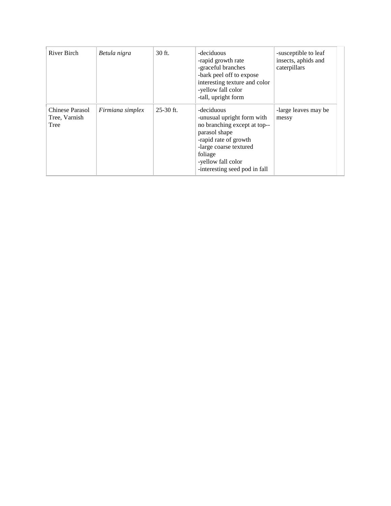| River Birch                              | Betula nigra     | 30 ft.      | -deciduous<br>-rapid growth rate<br>-graceful branches<br>-bark peel off to expose<br>interesting texture and color<br>-yellow fall color<br>-tall, upright form                                               | -susceptible to leaf<br>insects, aphids and<br>caterpillars |
|------------------------------------------|------------------|-------------|----------------------------------------------------------------------------------------------------------------------------------------------------------------------------------------------------------------|-------------------------------------------------------------|
| Chinese Parasol<br>Tree, Varnish<br>Tree | Firmiana simplex | $25-30$ ft. | -deciduous<br>-unusual upright form with<br>no branching except at top--<br>parasol shape<br>-rapid rate of growth<br>-large coarse textured<br>foliage<br>-yellow fall color<br>-interesting seed pod in fall | -large leaves may be<br>messy                               |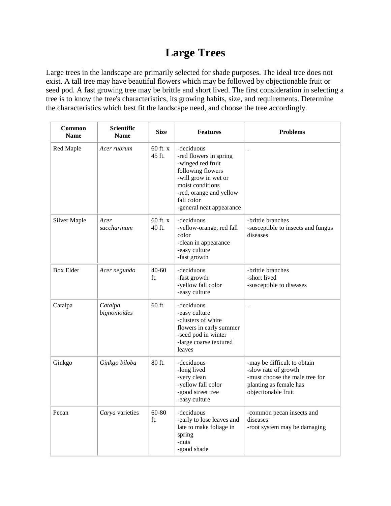# **Large Trees**

Large trees in the landscape are primarily selected for shade purposes. The ideal tree does not exist. A tall tree may have beautiful flowers which may be followed by objectionable fruit or seed pod. A fast growing tree may be brittle and short lived. The first consideration in selecting a tree is to know the tree's characteristics, its growing habits, size, and requirements. Determine the characteristics which best fit the landscape need, and choose the tree accordingly.

| Common<br><b>Name</b> | <b>Scientific</b><br><b>Name</b> | <b>Size</b>          | <b>Features</b>                                                                                                                                                                                 | <b>Problems</b>                                                                                                                        |
|-----------------------|----------------------------------|----------------------|-------------------------------------------------------------------------------------------------------------------------------------------------------------------------------------------------|----------------------------------------------------------------------------------------------------------------------------------------|
| Red Maple             | Acer rubrum                      | $60$ ft. x<br>45 ft. | -deciduous<br>-red flowers in spring<br>-winged red fruit<br>following flowers<br>-will grow in wet or<br>moist conditions<br>-red, orange and yellow<br>fall color<br>-general neat appearance |                                                                                                                                        |
| <b>Silver Maple</b>   | Acer<br>saccharinum              | $60$ ft. x<br>40 ft. | -deciduous<br>-yellow-orange, red fall<br>color<br>-clean in appearance<br>-easy culture<br>-fast growth                                                                                        | -brittle branches<br>-susceptible to insects and fungus<br>diseases                                                                    |
| <b>Box Elder</b>      | Acer negundo                     | $40 - 60$<br>ft.     | -deciduous<br>-fast growth<br>-yellow fall color<br>-easy culture                                                                                                                               | -brittle branches<br>-short lived<br>-susceptible to diseases                                                                          |
| Catalpa               | Catalpa<br>bignonioides          | 60 ft.               | -deciduous<br>-easy culture<br>-clusters of white<br>flowers in early summer<br>-seed pod in winter<br>-large coarse textured<br>leaves                                                         |                                                                                                                                        |
| Ginkgo                | Ginkgo biloba                    | 80 ft.               | -deciduous<br>-long lived<br>-very clean<br>-yellow fall color<br>-good street tree<br>-easy culture                                                                                            | -may be difficult to obtain<br>-slow rate of growth<br>-must choose the male tree for<br>planting as female has<br>objectionable fruit |
| Pecan                 | Carya varieties                  | 60-80<br>ft.         | -deciduous<br>-early to lose leaves and<br>late to make foliage in<br>spring<br>-nuts<br>-good shade                                                                                            | -common pecan insects and<br>diseases<br>-root system may be damaging                                                                  |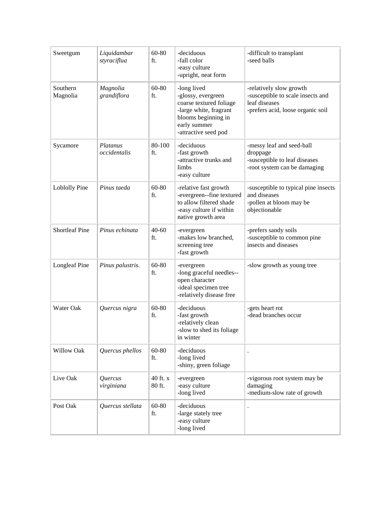| Sweetgum              | Liquidambar<br>styraciflua | 60-80<br>ft.       | -deciduous<br>-fall color<br>-easy culture<br>-upright, neat form                                                                                     | -difficult to transplant<br>-seed balls                                                                            |
|-----------------------|----------------------------|--------------------|-------------------------------------------------------------------------------------------------------------------------------------------------------|--------------------------------------------------------------------------------------------------------------------|
| Southern<br>Magnolia  | Magnolia<br>grandiflora    | 60-80<br>ft.       | -long lived<br>-glossy, evergreen<br>coarse textured foliage<br>-large white, fragrant<br>blooms beginning in<br>early summer<br>-attractive seed pod | -relatively slow growth<br>-susceptible to scale insects and<br>leaf diseases<br>-prefers acid, loose organic soil |
| Sycamore              | Platanus<br>occidentalis   | 80-100<br>ft.      | -deciduous<br>-fast growth<br>-attractive trunks and<br>limbs<br>-easy culture                                                                        | -messy leaf and seed-ball<br>droppage<br>-susceptible to leaf diseases<br>-root system can be damaging             |
| Loblolly Pine         | Pinus taeda                | 60-80<br>ft.       | -relative fast growth<br>-evergreen--fine textured<br>to allow filtered shade<br>-easy culture if within<br>native growth area                        | -susceptible to typical pine insects<br>and diseases<br>-pollen at bloom may be<br>objectionable                   |
| <b>Shortleaf Pine</b> | Pinus echinata             | $40 - 60$<br>ft.   | -evergreen<br>-makes low branched,<br>screening tree<br>-fast growth                                                                                  | -prefers sandy soils<br>-susceptible to common pine<br>insects and diseases                                        |
| <b>Longleaf Pine</b>  | Pinus palustris.           | 60-80<br>ft.       | -evergreen<br>-long graceful needles--<br>open character<br>-ideal specimen tree<br>-relatively disease free                                          | -slow growth as young tree                                                                                         |
| Water Oak             | Quercus nigra              | 60-80<br>ft.       | -deciduous<br>-fast growth<br>-relatively clean<br>-slow to shed its foliage<br>in winter                                                             | -gets heart rot<br>-dead branches occur                                                                            |
| Willow Oak            | Quercus phellos            | $60 - 80$<br>ft.   | -deciduous<br>-long lived<br>-shiny, green foliage                                                                                                    |                                                                                                                    |
| Live Oak              | Quercus<br>virginiana      | 40 ft. x<br>80 ft. | -evergreen<br>-easy culture<br>-long lived                                                                                                            | -vigorous root system may be<br>damaging<br>-medium-slow rate of growth                                            |
| Post Oak              | Quercus stellata           | 60-80<br>ft.       | -deciduous<br>-large stately tree<br>-easy culture<br>-long lived                                                                                     |                                                                                                                    |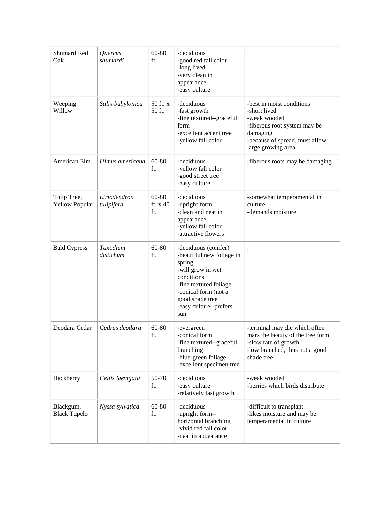| Shumard Red<br>Oak                   | Quercus<br>shumardi        | 60-80<br>ft.               | -deciduous<br>-good red fall color<br>-long lived<br>-very clean in<br>appearance<br>-easy culture                                                                                                   |                                                                                                                                                               |
|--------------------------------------|----------------------------|----------------------------|------------------------------------------------------------------------------------------------------------------------------------------------------------------------------------------------------|---------------------------------------------------------------------------------------------------------------------------------------------------------------|
| Weeping<br>Willow                    | Salix babylonica           | 50 ft. x<br>50 ft.         | -deciduous<br>-fast growth<br>-fine textured--graceful<br>form<br>-excellent accent tree<br>-yellow fall color                                                                                       | -best in moist conditions<br>-short lived<br>-weak wooded<br>-fiberous root system may be<br>damaging<br>-because of spread, must allow<br>large growing area |
| American Elm                         | Ulmus americana            | 60-80<br>ft.               | -deciduous<br>-yellow fall color<br>-good street tree<br>-easy culture                                                                                                                               | -fiberous roots may be damaging                                                                                                                               |
| Tulip Tree,<br><b>Yellow Popular</b> | Liriodendron<br>tulipifera | 60-80<br>ft. $x$ 40<br>ft. | -deciduous<br>-upright form<br>-clean and neat in<br>appearance<br>-yellow fall color<br>-attractive flowers                                                                                         | -somewhat temperamental in<br>culture<br>-demands moisture                                                                                                    |
| <b>Bald Cypress</b>                  | Taxodium<br>distichum      | 60-80<br>ft.               | -deciduous (conifer)<br>-beautiful new foliage in<br>spring<br>-will grow in wet<br>conditions<br>-fine textured foliage<br>-conical form (not a<br>good shade tree<br>-easy culture--prefers<br>sun |                                                                                                                                                               |
| Deodara Cedar                        | Cedrus deodara             | $60 - 80$<br>ft.           | -evergreen<br>-conical form<br>-fine textured--graceful<br>branching<br>-blue-green foliage<br>-excellent specimen tree                                                                              | -terminal may die which often<br>mars the beauty of the tree form<br>-slow rate of growth<br>-low branched, thus not a good<br>shade tree                     |
| Hackberry                            | Celtis laevigata           | 50-70<br>ft.               | -deciduous<br>-easy culture<br>-relatively fast growth                                                                                                                                               | -weak wooded<br>-berries which birds distribute                                                                                                               |
| Blackgum,<br><b>Black Tupelo</b>     | Nyssa sylvatica            | 60-80<br>ft.               | -deciduous<br>-upright form--<br>horizontal branching<br>-vivid red fall color<br>-neat in appearance                                                                                                | -difficult to transplant<br>-likes moisture and may be<br>temperamental in culture                                                                            |